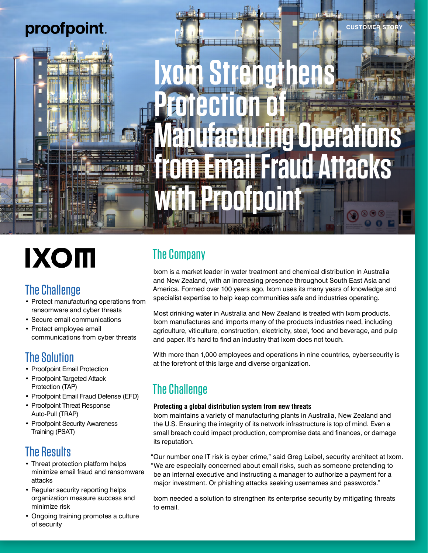

# **IXOM**

## The Challenge

- Protect manufacturing operations from ransomware and cyber threats
- Secure email communications
- Protect employee email communications from cyber threats

## The Solution

- Proofpoint Email Protection
- Proofpoint Targeted Attack Protection (TAP)
- Proofpoint Email Fraud Defense (EFD)
- Proofpoint Threat Response Auto-Pull (TRAP)
- Proofpoint Security Awareness Training (PSAT)

## The Results

- Threat protection platform helps minimize email fraud and ransomware attacks
- Regular security reporting helps organization measure success and minimize risk
- Ongoing training promotes a culture of security

# The Company

Ixom is a market leader in water treatment and chemical distribution in Australia and New Zealand, with an increasing presence throughout South East Asia and America. Formed over 100 years ago, Ixom uses its many years of knowledge and specialist expertise to help keep communities safe and industries operating.

Most drinking water in Australia and New Zealand is treated with Ixom products. Ixom manufactures and imports many of the products industries need, including agriculture, viticulture, construction, electricity, steel, food and beverage, and pulp and paper. It's hard to find an industry that Ixom does not touch.

With more than 1,000 employees and operations in nine countries, cybersecurity is at the forefront of this large and diverse organization.

# The Challenge

### **Protecting a global distribution system from new threats**

Ixom maintains a variety of manufacturing plants in Australia, New Zealand and the U.S. Ensuring the integrity of its network infrastructure is top of mind. Even a small breach could impact production, compromise data and finances, or damage its reputation.

"Our number one IT risk is cyber crime," said Greg Leibel, security architect at Ixom. "We are especially concerned about email risks, such as someone pretending to be an internal executive and instructing a manager to authorize a payment for a major investment. Or phishing attacks seeking usernames and passwords."

Ixom needed a solution to strengthen its enterprise security by mitigating threats to email.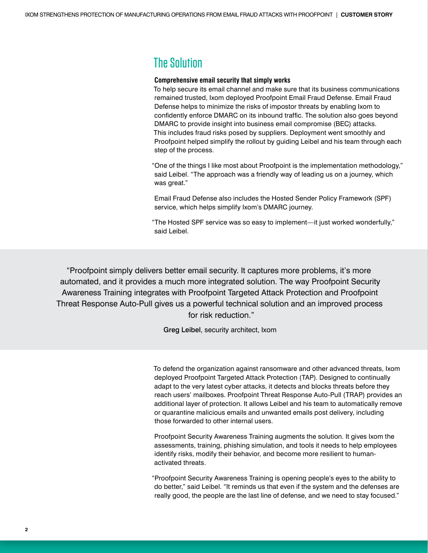## The Solution

#### **Comprehensive email security that simply works**

To help secure its email channel and make sure that its business communications remained trusted, Ixom deployed Proofpoint Email Fraud Defense. Email Fraud Defense helps to minimize the risks of impostor threats by enabling Ixom to confidently enforce DMARC on its inbound traffic. The solution also goes beyond DMARC to provide insight into business email compromise (BEC) attacks. This includes fraud risks posed by suppliers. Deployment went smoothly and Proofpoint helped simplify the rollout by guiding Leibel and his team through each step of the process.

"One of the things I like most about Proofpoint is the implementation methodology," said Leibel. "The approach was a friendly way of leading us on a journey, which was great."

Email Fraud Defense also includes the Hosted Sender Policy Framework (SPF) service, which helps simplify Ixom's DMARC journey.

"The Hosted SPF service was so easy to implement—it just worked wonderfully," said Leibel.

"Proofpoint simply delivers better email security. It captures more problems, it's more automated, and it provides a much more integrated solution. The way Proofpoint Security Awareness Training integrates with Proofpoint Targeted Attack Protection and Proofpoint Threat Response Auto-Pull gives us a powerful technical solution and an improved process for risk reduction."

Greg Leibel, security architect, Ixom

To defend the organization against ransomware and other advanced threats, Ixom deployed Proofpoint Targeted Attack Protection (TAP). Designed to continually adapt to the very latest cyber attacks, it detects and blocks threats before they reach users' mailboxes. Proofpoint Threat Response Auto-Pull (TRAP) provides an additional layer of protection. It allows Leibel and his team to automatically remove or quarantine malicious emails and unwanted emails post delivery, including those forwarded to other internal users.

Proofpoint Security Awareness Training augments the solution. It gives Ixom the assessments, training, phishing simulation, and tools it needs to help employees identify risks, modify their behavior, and become more resilient to humanactivated threats.

"Proofpoint Security Awareness Training is opening people's eyes to the ability to do better," said Leibel. "It reminds us that even if the system and the defenses are really good, the people are the last line of defense, and we need to stay focused."